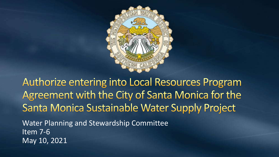

**Authorize entering into Local Resources Program** Agreement with the City of Santa Monica for the Santa Monica Sustainable Water Supply Project Water Planning and Stewardship Committee Item 7-6 May 10, 2021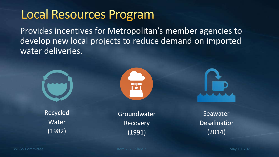## **Local Resources Program**

Provides incentives for Metropolitan's member agencies to develop new local projects to reduce demand on imported water deliveries.







Groundwater Recovery (1991)



Seawater **Desalination** (2014)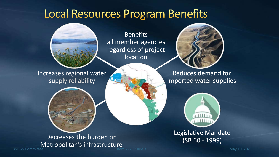#### **Local Resources Program Benefits**



**Benefits** all member agencies regardless of project location

Inc[reases regional wate](http://www.google.com/url?sa=i&rct=j&q=&esrc=s&source=images&cd=&cad=rja&uact=8&ved=2ahUKEwjelY2OvILhAhV2CTQIHfyZCpMQjRx6BAgBEAU&url=http://www.mwdh2o.com/AboutYourWater/Storage-And-Delivery/Reservoirs/Diamond-Valley-Lake&psig=AOvVaw3Dy9XmAhWnZhVIl_oL9rk5&ust=1552681658710697)r supply reliability



Reduces demand for i[mported water suppl](https://www.google.com/url?sa=i&rct=j&q=&esrc=s&source=images&cd=&cad=rja&uact=8&ved=2ahUKEwiXj6ifvILhAhUkHDQIHdx-DvMQjRx6BAgBEAU&url=https://www.watereducation.org/aquapedia/state-water-project&psig=AOvVaw0jgj5SLuBziJA3Hlrl0tjD&ust=1552681704816443)ies



L[egislative Mandat](https://www.google.com/url?sa=i&rct=j&q=&esrc=s&source=images&cd=&cad=rja&uact=8&ved=2ahUKEwi6xfq0wYLhAhU_FjQIHYAGBo4QjRx6BAgBEAU&url=https://showmeinstitute.org/blog/school-choice/senate-bill-493-not-school-choice-bill&psig=AOvVaw1GSV-VLI4H2GCfLBv4FF-X&ust=1552683067440098)e (SB 60 - 1999)

WP&S Committee **Internal Controller Controller Controller Controller Controller Controller Controller Controller Controller Controller Controller Controller Controller Controller Controller Controller Controller Controller** Decreases the burden on **[Metropolitan's infrast](http://www.google.com/url?sa=i&rct=j&q=&esrc=s&source=images&cd=&cad=rja&uact=8&ved=2ahUKEwjW0ZnmvILhAhXfHjQIHWecA5wQjRx6BAgBEAU&url=http://www.mwdh2o.com/AboutYourWater/Storage-And-Delivery/Pumping-Plants/gene-pumping-station&psig=AOvVaw3phS47d4_ZWw_8H6Gh8-Ir&ust=1552681819862481)ructure**<br>Kem 7-6 Slide 3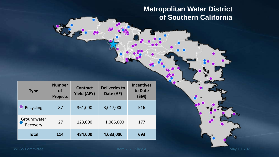**Metropolitan Water District of Southern California**

| <b>Type</b>             | <b>Number</b><br><b>of</b><br><b>Projects</b> | <b>Contract</b><br><b>Yield (AFY)</b> | <b>Deliveries to</b><br>Date (AF) | <b>Incentives</b><br>to Date<br>(SM) |
|-------------------------|-----------------------------------------------|---------------------------------------|-----------------------------------|--------------------------------------|
| Recycling               | 87                                            | 361,000                               | 3,017,000                         | 516                                  |
| Groundwater<br>Recovery | 27                                            | 123,000                               | 1,066,000                         | 177                                  |
| <b>Total</b>            | 114                                           | 484,000                               | 4,083,000                         | 693                                  |

fo

WP&S Committee May 10, 2021

 $\bullet$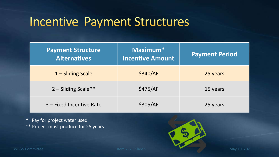#### **Incentive Payment Structures**

| <b>Payment Structure</b><br><b>Alternatives</b> | Maximum <sup>*</sup><br><b>Incentive Amount</b> | <b>Payment Period</b> |
|-------------------------------------------------|-------------------------------------------------|-----------------------|
| $1 - S$ liding Scale                            | \$340/AF                                        | 25 years              |
| 2 - Sliding Scale**                             | \$475/AF                                        | 15 years              |
| 3 – Fixed Incentive Rate                        | \$305/AF                                        | 25 years              |

\* Pay for project water used \*\* Project must produce for 25 years

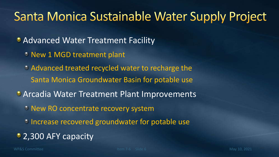#### Santa Monica Sustainable Water Supply Project

**• Advanced Water Treatment Facility** 

- New 1 MGD treatment plant
- Advanced treated recycled water to recharge the Santa Monica Groundwater Basin for potable use
- **Arcadia Water Treatment Plant Improvements** 
	- <sup>®</sup> New RO concentrate recovery system
	- Increase recovered groundwater for potable use
- 2,300 AFY capacity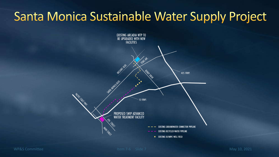## Santa Monica Sustainable Water Supply Project

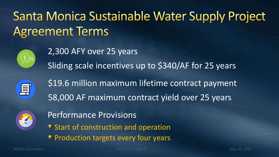# Santa Monica Sustainable Water Supply Project **Agreement Terms**



2,300 AFY over 25 years Sliding scale incentives up to \$340/AF for 25 years



\$19.6 million maximum lifetime contract payment 58,000 AF maximum contract yield over 25 years



Performance Provisions

- <sup>o</sup> Start of construction and operation
- **Production targets every four years**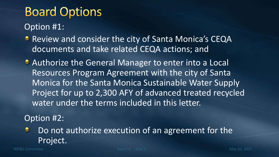# **Board Options**

Option #1:

- **Review and consider the city of Santa Monica's CEQA** documents and take related CEQA actions; and
- **Authorize the General Manager to enter into a Local** Resources Program Agreement with the city of Santa Monica for the Santa Monica Sustainable Water Supply Project for up to 2,300 AFY of advanced treated recycled water under the terms included in this letter.

Option #2:

Do not authorize execution of an agreement for the ۰ Project.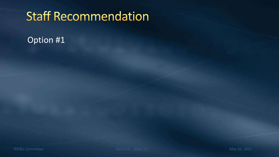## **Staff Recommendation**

#### Option #1